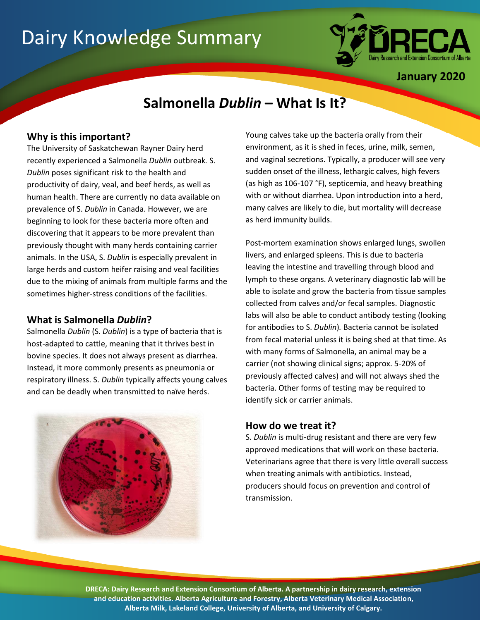# Dairy Knowledge Summary



**January 2020**

# **Salmonella** *Dublin* **– What Is It?**

# **Why is this important?**

The University of Saskatchewan Rayner Dairy herd recently experienced a Salmonella *Dublin* outbreak*.* S. *Dublin* poses significant risk to the health and productivity of dairy, veal, and beef herds, as well as human health. There are currently no data available on prevalence of S. *Dublin* in Canada. However, we are beginning to look for these bacteria more often and discovering that it appears to be more prevalent than previously thought with many herds containing carrier animals. In the USA, S. *Dublin* is especially prevalent in large herds and custom heifer raising and veal facilities due to the mixing of animals from multiple farms and the sometimes higher-stress conditions of the facilities.

# **What is Salmonella** *Dublin***?**

Salmonella *Dublin* (S. *Dublin*) is a type of bacteria that is host-adapted to cattle, meaning that it thrives best in bovine species. It does not always present as diarrhea. Instead, it more commonly presents as pneumonia or respiratory illness. S. *Dublin* typically affects young calves and can be deadly when transmitted to naïve herds.



Young calves take up the bacteria orally from their environment, as it is shed in feces, urine, milk, semen, and vaginal secretions. Typically, a producer will see very sudden onset of the illness, lethargic calves, high fevers (as high as 106-107 °F), septicemia, and heavy breathing with or without diarrhea. Upon introduction into a herd, many calves are likely to die, but mortality will decrease as herd immunity builds.

Post-mortem examination shows enlarged lungs, swollen livers, and enlarged spleens. This is due to bacteria leaving the intestine and travelling through blood and lymph to these organs. A veterinary diagnostic lab will be able to isolate and grow the bacteria from tissue samples collected from calves and/or fecal samples. Diagnostic labs will also be able to conduct antibody testing (looking for antibodies to S. *Dublin*)*.* Bacteria cannot be isolated from fecal material unless it is being shed at that time. As with many forms of Salmonella, an animal may be a carrier (not showing clinical signs; approx. 5-20% of previously affected calves) and will not always shed the bacteria. Other forms of testing may be required to identify sick or carrier animals.

### **How do we treat it?**

S. *Dublin* is multi-drug resistant and there are very few approved medications that will work on these bacteria. Veterinarians agree that there is very little overall success when treating animals with antibiotics. Instead, producers should focus on prevention and control of transmission.

**DRECA: Dairy Research and Extension Consortium of Alberta. A partnership in dairy research, extension and education activities. Alberta Agriculture and Forestry, Alberta Veterinary Medical Association, Alberta Milk, Lakeland College, University of Alberta, and University of Calgary.**